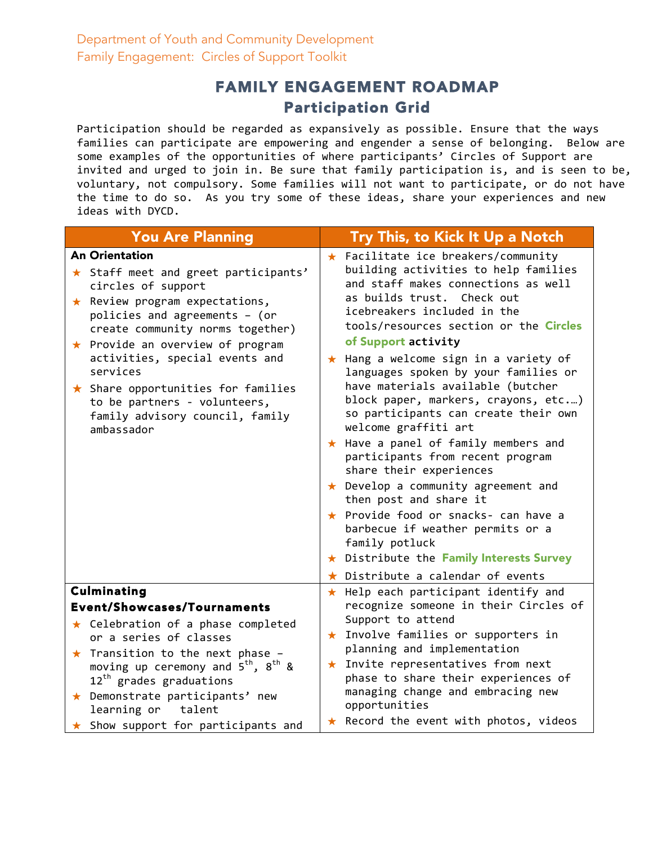## FAMILY ENGAGEMENT ROADMAP Participation Grid

Participation should be regarded as expansively as possible. Ensure that the ways families can participate are empowering and engender a sense of belonging. Below are some examples of the opportunities of where participants' Circles of Support are invited and urged to join in. Be sure that family participation is, and is seen to be, voluntary, not compulsory. Some families will not want to participate, or do not have the time to do so. As you try some of these ideas, share your experiences and new ideas with DYCD.

| <b>You Are Planning</b>                                                                                                                                                                                                                                                                                                                                                                                               | Try This, to Kick It Up a Notch                                                                                                                                                                                                                                                                                                                                                                                                                                                                                                                                                                                                                                                                                                                                                                                                                        |
|-----------------------------------------------------------------------------------------------------------------------------------------------------------------------------------------------------------------------------------------------------------------------------------------------------------------------------------------------------------------------------------------------------------------------|--------------------------------------------------------------------------------------------------------------------------------------------------------------------------------------------------------------------------------------------------------------------------------------------------------------------------------------------------------------------------------------------------------------------------------------------------------------------------------------------------------------------------------------------------------------------------------------------------------------------------------------------------------------------------------------------------------------------------------------------------------------------------------------------------------------------------------------------------------|
| <b>An Orientation</b><br>★ Staff meet and greet participants'<br>circles of support<br>$\star$ Review program expectations,<br>policies and agreements - (or<br>create community norms together)<br>$\star$ Provide an overview of program<br>activities, special events and<br>services<br>$\star$ Share opportunities for families<br>to be partners - volunteers,<br>family advisory council, family<br>ambassador | $\star$ Facilitate ice breakers/community<br>building activities to help families<br>and staff makes connections as well<br>as builds trust. Check out<br>icebreakers included in the<br>tools/resources section or the Circles<br>of Support activity<br>★ Hang a welcome sign in a variety of<br>languages spoken by your families or<br>have materials available (butcher<br>block paper, markers, crayons, etc)<br>so participants can create their own<br>welcome graffiti art<br>★ Have a panel of family members and<br>participants from recent program<br>share their experiences<br>$\star$ Develop a community agreement and<br>then post and share it<br>★ Provide food or snacks- can have a<br>barbecue if weather permits or a<br>family potluck<br>★ Distribute the Family Interests Survey<br>$\star$ Distribute a calendar of events |
| <b>Culminating</b><br><b>Event/Showcases/Tournaments</b>                                                                                                                                                                                                                                                                                                                                                              | $\star$ Help each participant identify and<br>recognize someone in their Circles of                                                                                                                                                                                                                                                                                                                                                                                                                                                                                                                                                                                                                                                                                                                                                                    |
| $\star$ Celebration of a phase completed<br>or a series of classes<br>$\star$ Transition to the next phase -<br>moving up ceremony and $5^{th}$ , $8^{th}$ &<br>$12^{th}$ grades graduations<br>$\star$ Demonstrate participants' new<br>learning or<br>talent                                                                                                                                                        | Support to attend<br>★ Involve families or supporters in<br>planning and implementation<br>$\star$ Invite representatives from next<br>phase to share their experiences of<br>managing change and embracing new<br>opportunities                                                                                                                                                                                                                                                                                                                                                                                                                                                                                                                                                                                                                       |
| $\star$ Show support for participants and                                                                                                                                                                                                                                                                                                                                                                             | * Record the event with photos, videos                                                                                                                                                                                                                                                                                                                                                                                                                                                                                                                                                                                                                                                                                                                                                                                                                 |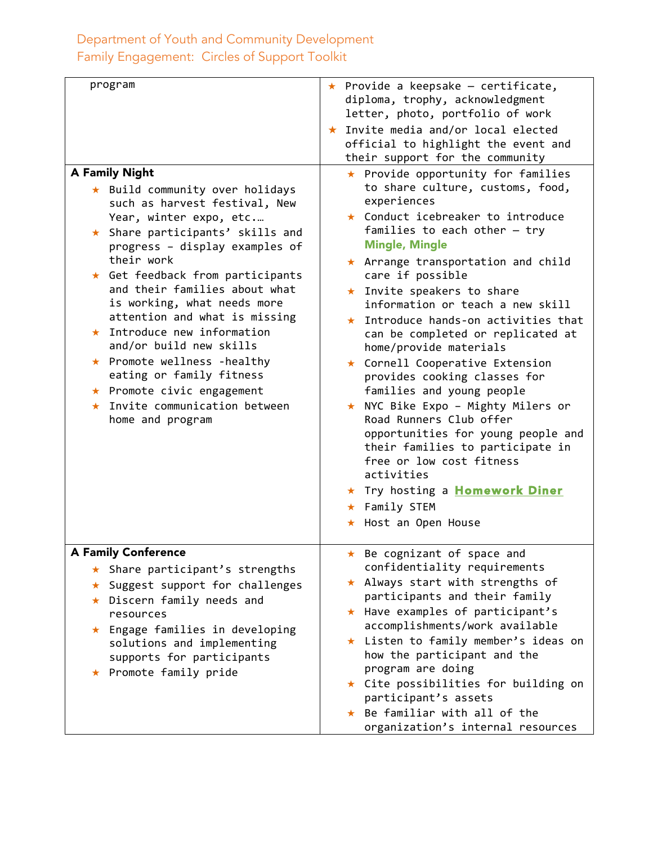| program                                                                                                                                                                                                                                                                                                                                                                                                                                                                                                                                                                       | $\star$ Provide a keepsake - certificate,<br>diploma, trophy, acknowledgment<br>letter, photo, portfolio of work                                                                                                                                                                                                                                                                                                                                                                                                                                                                                                                                                                                                                                                                                            |
|-------------------------------------------------------------------------------------------------------------------------------------------------------------------------------------------------------------------------------------------------------------------------------------------------------------------------------------------------------------------------------------------------------------------------------------------------------------------------------------------------------------------------------------------------------------------------------|-------------------------------------------------------------------------------------------------------------------------------------------------------------------------------------------------------------------------------------------------------------------------------------------------------------------------------------------------------------------------------------------------------------------------------------------------------------------------------------------------------------------------------------------------------------------------------------------------------------------------------------------------------------------------------------------------------------------------------------------------------------------------------------------------------------|
|                                                                                                                                                                                                                                                                                                                                                                                                                                                                                                                                                                               | ★ Invite media and/or local elected<br>official to highlight the event and<br>their support for the community                                                                                                                                                                                                                                                                                                                                                                                                                                                                                                                                                                                                                                                                                               |
| <b>A Family Night</b><br>★ Build community over holidays<br>such as harvest festival, New<br>Year, winter expo, etc<br>★ Share participants' skills and<br>progress - display examples of<br>their work<br>$\star$ Get feedback from participants<br>and their families about what<br>is working, what needs more<br>attention and what is missing<br>$\star$ Introduce new information<br>and/or build new skills<br>★ Promote wellness -healthy<br>eating or family fitness<br>$\star$ Promote civic engagement<br>$\star$ Invite communication between<br>home and program | ★ Provide opportunity for families<br>to share culture, customs, food,<br>experiences<br>* Conduct icebreaker to introduce<br>families to each other $-$ try<br><b>Mingle, Mingle</b><br>$\star$ Arrange transportation and child<br>care if possible<br>★ Invite speakers to share<br>information or teach a new skill<br>$\star$ Introduce hands-on activities that<br>can be completed or replicated at<br>home/provide materials<br>★ Cornell Cooperative Extension<br>provides cooking classes for<br>families and young people<br>★ NYC Bike Expo - Mighty Milers or<br>Road Runners Club offer<br>opportunities for young people and<br>their families to participate in<br>free or low cost fitness<br>activities<br>* Try hosting a <b>Homework Diner</b><br>★ Family STEM<br>★ Host an Open House |
| <b>A Family Conference</b><br>★ Share participant's strengths<br>Suggest support for challenges<br>$\star$<br>★ Discern family needs and<br>resources<br>Engage families in developing<br>$\star$<br>solutions and implementing<br>supports for participants<br>★ Promote family pride                                                                                                                                                                                                                                                                                        | * Be cognizant of space and<br>confidentiality requirements<br>$\star$ Always start with strengths of<br>participants and their family<br>★ Have examples of participant's<br>accomplishments/work available<br>★ Listen to family member's ideas on<br>how the participant and the<br>program are doing<br>★ Cite possibilities for building on<br>participant's assets<br>★ Be familiar with all of the<br>organization's internal resources                                                                                                                                                                                                                                                                                                                                                              |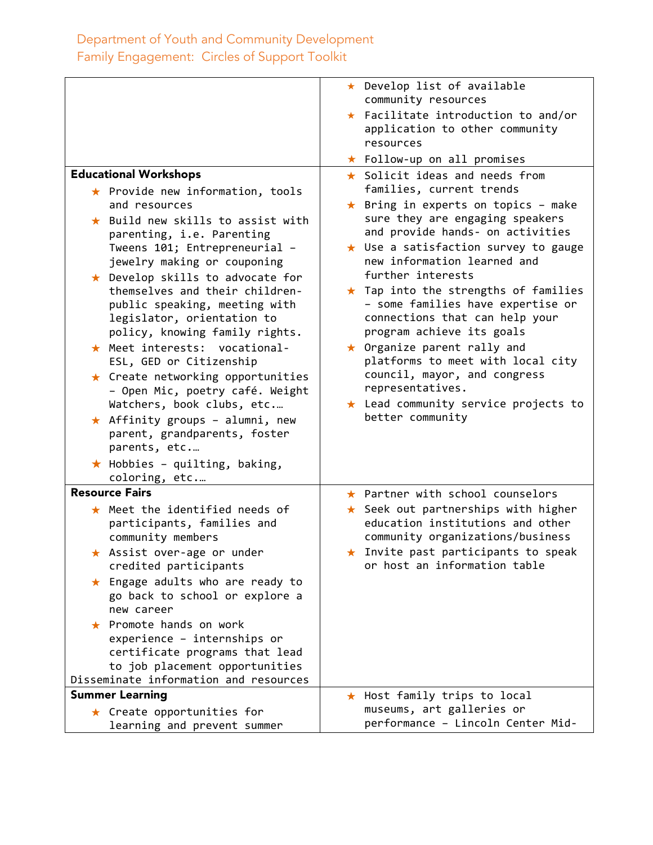|                                                                                                                                                                           | ★ Develop list of available                                                                                                                      |
|---------------------------------------------------------------------------------------------------------------------------------------------------------------------------|--------------------------------------------------------------------------------------------------------------------------------------------------|
|                                                                                                                                                                           | community resources                                                                                                                              |
|                                                                                                                                                                           | $\star$ Facilitate introduction to and/or<br>application to other community<br>resources                                                         |
|                                                                                                                                                                           | ★ Follow-up on all promises                                                                                                                      |
| <b>Educational Workshops</b><br>$\star$ Provide new information, tools                                                                                                    | $\star$ Solicit ideas and needs from<br>families, current trends                                                                                 |
| and resources                                                                                                                                                             | ★ Bring in experts on topics - make                                                                                                              |
| $\star$ Build new skills to assist with<br>parenting, i.e. Parenting<br>Tweens 101; Entrepreneurial -                                                                     | sure they are engaging speakers<br>and provide hands- on activities<br>$\star$ Use a satisfaction survey to gauge<br>new information learned and |
| jewelry making or couponing                                                                                                                                               | further interests                                                                                                                                |
| $\star$ Develop skills to advocate for<br>themselves and their children-<br>public speaking, meeting with<br>legislator, orientation to<br>policy, knowing family rights. | $\star$ Tap into the strengths of families<br>- some families have expertise or<br>connections that can help your<br>program achieve its goals   |
| $\star$ Meet interests:<br>vocational-<br>ESL, GED or Citizenship                                                                                                         | $\star$ Organize parent rally and<br>platforms to meet with local city                                                                           |
| $\star$ Create networking opportunities<br>- Open Mic, poetry café. Weight<br>Watchers, book clubs, etc                                                                   | council, mayor, and congress<br>representatives.<br>$\star$ Lead community service projects to                                                   |
| $\star$ Affinity groups - alumni, new                                                                                                                                     | better community                                                                                                                                 |
| parent, grandparents, foster                                                                                                                                              |                                                                                                                                                  |
| parents, etc                                                                                                                                                              |                                                                                                                                                  |
| $\star$ Hobbies - quilting, baking,<br>coloring, etc                                                                                                                      |                                                                                                                                                  |
| <b>Resource Fairs</b>                                                                                                                                                     | $\star$ Partner with school counselors                                                                                                           |
| $\star$ Meet the identified needs of<br>participants, families and<br>community members                                                                                   | $\star$ Seek out partnerships with higher<br>education institutions and other<br>community organizations/business                                |
| $\star$ Assist over-age or under<br>credited participants                                                                                                                 | Invite past participants to speak<br>$\star$<br>or host an information table                                                                     |
| $\star$ Engage adults who are ready to<br>go back to school or explore a<br>new career                                                                                    |                                                                                                                                                  |
| $\star$ Promote hands on work<br>experience - internships or<br>certificate programs that lead<br>to job placement opportunities                                          |                                                                                                                                                  |
| Disseminate information and resources                                                                                                                                     |                                                                                                                                                  |
| <b>Summer Learning</b>                                                                                                                                                    | ★ Host family trips to local                                                                                                                     |
| $\star$ Create opportunities for<br>learning and prevent summer                                                                                                           | museums, art galleries or<br>performance - Lincoln Center Mid-                                                                                   |